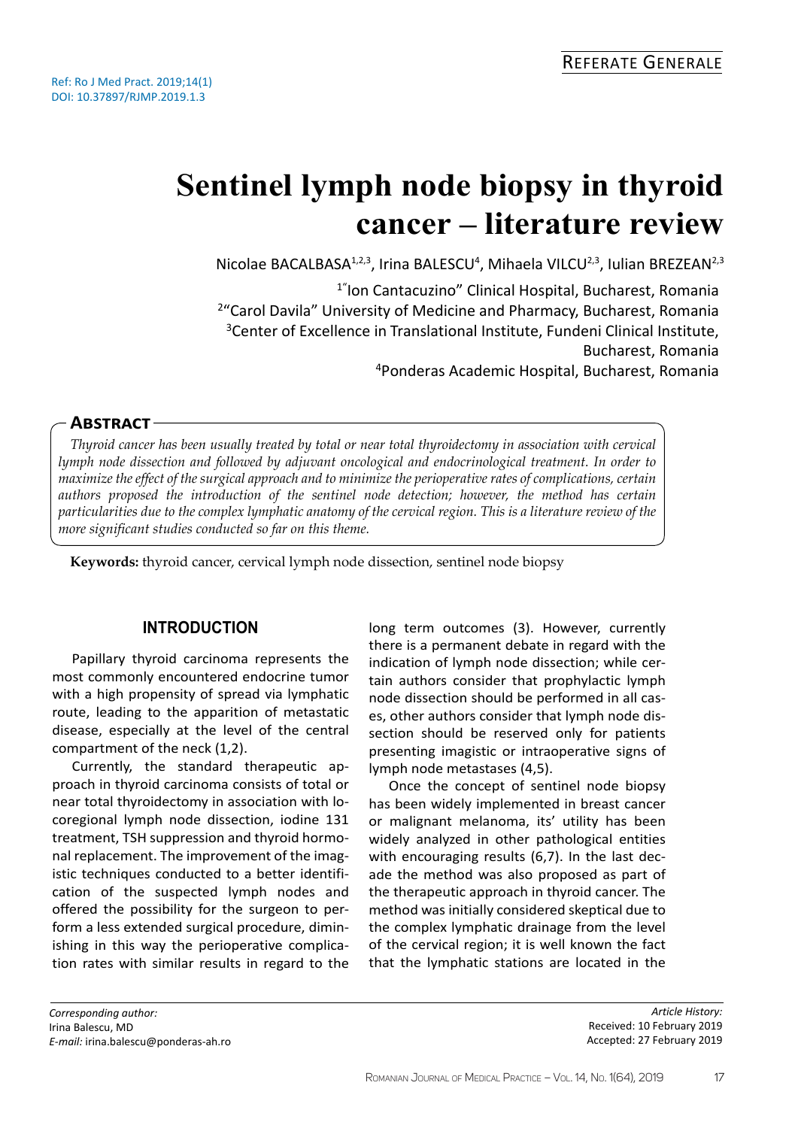# **Sentinel lymph node biopsy in thyroid cancer – literature review**

Nicolae BACALBASA<sup>1,2,3</sup>, Irina BALESCU<sup>4</sup>, Mihaela VILCU<sup>2,3</sup>, Iulian BREZEAN<sup>2,3</sup>

1"Ion Cantacuzino" Clinical Hospital, Bucharest, Romania <sup>2</sup>"Carol Davila" University of Medicine and Pharmacy, Bucharest, Romania <sup>3</sup> Center of Excellence in Translational Institute, Fundeni Clinical Institute, Bucharest, Romania <sup>4</sup>Ponderas Academic Hospital, Bucharest, Romania

# **Abstract**

*Thyroid cancer has been usually treated by total or near total thyroidectomy in association with cervical lymph node dissection and followed by adjuvant oncological and endocrinological treatment. In order to maximize the effect of the surgical approach and to minimize the perioperative rates of complications, certain authors proposed the introduction of the sentinel node detection; however, the method has certain particularities due to the complex lymphatic anatomy of the cervical region. This is a literature review of the more significant studies conducted so far on this theme.*

**Keywords:** thyroid cancer, cervical lymph node dissection, sentinel node biopsy

## **Introduction**

Papillary thyroid carcinoma represents the most commonly encountered endocrine tumor with a high propensity of spread via lymphatic route, leading to the apparition of metastatic disease, especially at the level of the central compartment of the neck (1,2).

Currently, the standard therapeutic approach in thyroid carcinoma consists of total or near total thyroidectomy in association with locoregional lymph node dissection, iodine 131 treatment, TSH suppression and thyroid hormonal replacement. The improvement of the imagistic techniques conducted to a better identification of the suspected lymph nodes and offered the possibility for the surgeon to perform a less extended surgical procedure, diminishing in this way the perioperative complication rates with similar results in regard to the

long term outcomes (3). However, currently there is a permanent debate in regard with the indication of lymph node dissection; while certain authors consider that prophylactic lymph node dissection should be performed in all cases, other authors consider that lymph node dissection should be reserved only for patients presenting imagistic or intraoperative signs of lymph node metastases (4,5).

Once the concept of sentinel node biopsy has been widely implemented in breast cancer or malignant melanoma, its' utility has been widely analyzed in other pathological entities with encouraging results (6,7). In the last decade the method was also proposed as part of the therapeutic approach in thyroid cancer. The method was initially considered skeptical due to the complex lymphatic drainage from the level of the cervical region; it is well known the fact that the lymphatic stations are located in the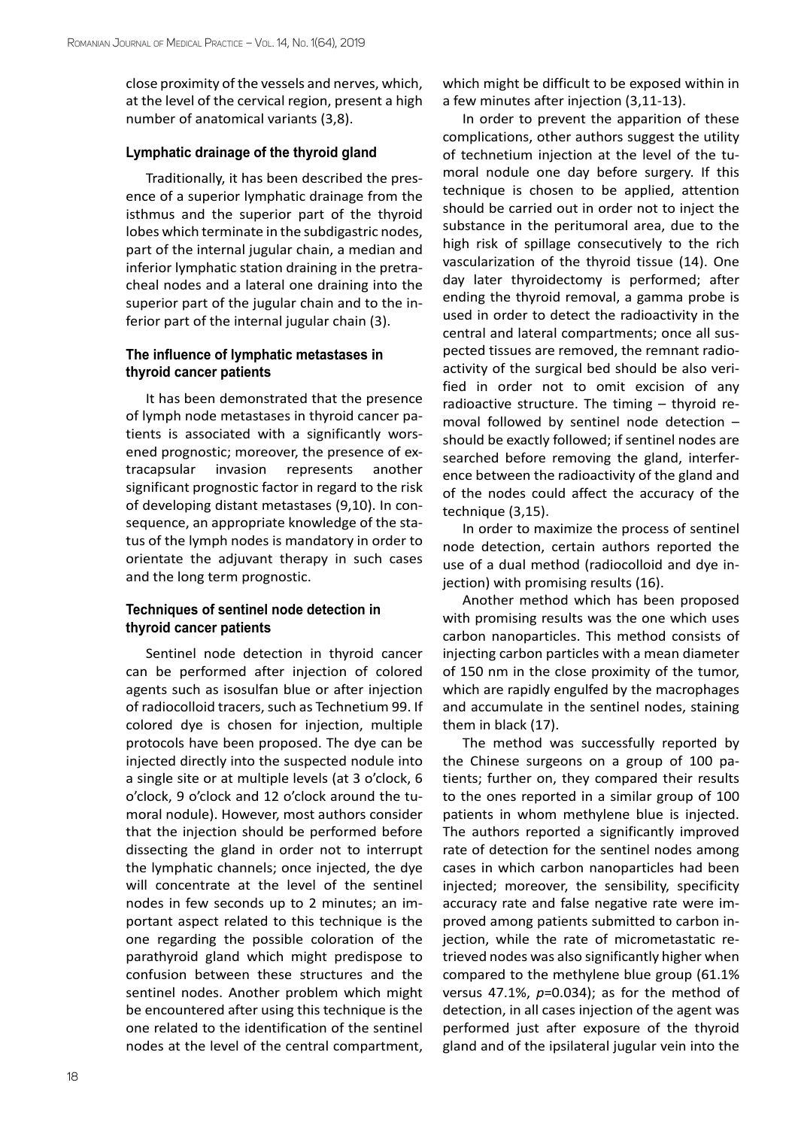close proximity of the vessels and nerves, which, at the level of the cervical region, present a high number of anatomical variants (3,8).

#### **Lymphatic drainage of the thyroid gland**

Traditionally, it has been described the presence of a superior lymphatic drainage from the isthmus and the superior part of the thyroid lobes which terminate in the subdigastric nodes, part of the internal jugular chain, a median and inferior lymphatic station draining in the pretracheal nodes and a lateral one draining into the superior part of the jugular chain and to the inferior part of the internal jugular chain (3).

## **The influence of lymphatic metastases in thyroid cancer patients**

It has been demonstrated that the presence of lymph node metastases in thyroid cancer patients is associated with a significantly worsened prognostic; moreover, the presence of extracapsular invasion represents another significant prognostic factor in regard to the risk of developing distant metastases (9,10). In consequence, an appropriate knowledge of the status of the lymph nodes is mandatory in order to orientate the adjuvant therapy in such cases and the long term prognostic.

## **Techniques of sentinel node detection in thyroid cancer patients**

Sentinel node detection in thyroid cancer can be performed after injection of colored agents such as isosulfan blue or after injection of radiocolloid tracers, such as Technetium 99. If colored dye is chosen for injection, multiple protocols have been proposed. The dye can be injected directly into the suspected nodule into a single site or at multiple levels (at 3 o'clock, 6 o'clock, 9 o'clock and 12 o'clock around the tumoral nodule). However, most authors consider that the injection should be performed before dissecting the gland in order not to interrupt the lymphatic channels; once injected, the dye will concentrate at the level of the sentinel nodes in few seconds up to 2 minutes; an important aspect related to this technique is the one regarding the possible coloration of the parathyroid gland which might predispose to confusion between these structures and the sentinel nodes. Another problem which might be encountered after using this technique is the one related to the identification of the sentinel nodes at the level of the central compartment,

which might be difficult to be exposed within in a few minutes after injection (3,11-13).

In order to prevent the apparition of these complications, other authors suggest the utility of technetium injection at the level of the tumoral nodule one day before surgery. If this technique is chosen to be applied, attention should be carried out in order not to inject the substance in the peritumoral area, due to the high risk of spillage consecutively to the rich vascularization of the thyroid tissue (14). One day later thyroidectomy is performed; after ending the thyroid removal, a gamma probe is used in order to detect the radioactivity in the central and lateral compartments; once all suspected tissues are removed, the remnant radioactivity of the surgical bed should be also verified in order not to omit excision of any radioactive structure. The timing – thyroid removal followed by sentinel node detection – should be exactly followed; if sentinel nodes are searched before removing the gland, interference between the radioactivity of the gland and of the nodes could affect the accuracy of the technique (3,15).

In order to maximize the process of sentinel node detection, certain authors reported the use of a dual method (radiocolloid and dye injection) with promising results (16).

Another method which has been proposed with promising results was the one which uses carbon nanoparticles. This method consists of injecting carbon particles with a mean diameter of 150 nm in the close proximity of the tumor, which are rapidly engulfed by the macrophages and accumulate in the sentinel nodes, staining them in black (17).

The method was successfully reported by the Chinese surgeons on a group of 100 patients; further on, they compared their results to the ones reported in a similar group of 100 patients in whom methylene blue is injected. The authors reported a significantly improved rate of detection for the sentinel nodes among cases in which carbon nanoparticles had been injected; moreover, the sensibility, specificity accuracy rate and false negative rate were improved among patients submitted to carbon injection, while the rate of micrometastatic retrieved nodes was also significantly higher when compared to the methylene blue group (61.1% versus 47.1%, *p*=0.034); as for the method of detection, in all cases injection of the agent was performed just after exposure of the thyroid gland and of the ipsilateral jugular vein into the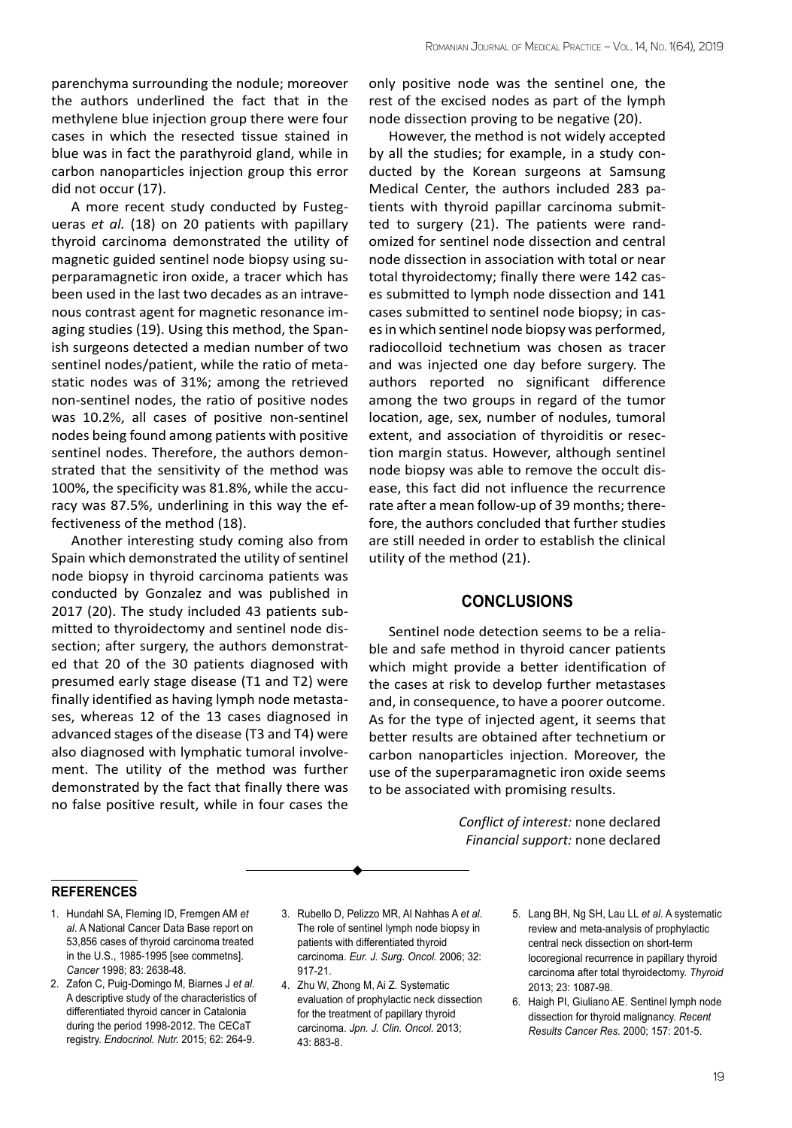parenchyma surrounding the nodule; moreover the authors underlined the fact that in the methylene blue injection group there were four cases in which the resected tissue stained in blue was in fact the parathyroid gland, while in carbon nanoparticles injection group this error did not occur (17).

A more recent study conducted by Fustegueras *et al.* (18) on 20 patients with papillary thyroid carcinoma demonstrated the utility of magnetic guided sentinel node biopsy using superparamagnetic iron oxide, a tracer which has been used in the last two decades as an intravenous contrast agent for magnetic resonance imaging studies (19). Using this method, the Spanish surgeons detected a median number of two sentinel nodes/patient, while the ratio of metastatic nodes was of 31%; among the retrieved non-sentinel nodes, the ratio of positive nodes was 10.2%, all cases of positive non-sentinel nodes being found among patients with positive sentinel nodes. Therefore, the authors demonstrated that the sensitivity of the method was 100%, the specificity was 81.8%, while the accuracy was 87.5%, underlining in this way the effectiveness of the method (18).

Another interesting study coming also from Spain which demonstrated the utility of sentinel node biopsy in thyroid carcinoma patients was conducted by Gonzalez and was published in 2017 (20). The study included 43 patients submitted to thyroidectomy and sentinel node dissection; after surgery, the authors demonstrated that 20 of the 30 patients diagnosed with presumed early stage disease (T1 and T2) were finally identified as having lymph node metastases, whereas 12 of the 13 cases diagnosed in advanced stages of the disease (T3 and T4) were also diagnosed with lymphatic tumoral involvement. The utility of the method was further demonstrated by the fact that finally there was no false positive result, while in four cases the

only positive node was the sentinel one, the rest of the excised nodes as part of the lymph node dissection proving to be negative (20).

However, the method is not widely accepted by all the studies; for example, in a study conducted by the Korean surgeons at Samsung Medical Center, the authors included 283 patients with thyroid papillar carcinoma submitted to surgery (21). The patients were randomized for sentinel node dissection and central node dissection in association with total or near total thyroidectomy; finally there were 142 cases submitted to lymph node dissection and 141 cases submitted to sentinel node biopsy; in cases in which sentinel node biopsy was performed, radiocolloid technetium was chosen as tracer and was injected one day before surgery. The authors reported no significant difference among the two groups in regard of the tumor location, age, sex, number of nodules, tumoral extent, and association of thyroiditis or resection margin status. However, although sentinel node biopsy was able to remove the occult disease, this fact did not influence the recurrence rate after a mean follow-up of 39 months; therefore, the authors concluded that further studies are still needed in order to establish the clinical utility of the method (21).

### **Conclusions**

Sentinel node detection seems to be a reliable and safe method in thyroid cancer patients which might provide a better identification of the cases at risk to develop further metastases and, in consequence, to have a poorer outcome. As for the type of injected agent, it seems that better results are obtained after technetium or carbon nanoparticles injection. Moreover, the use of the superparamagnetic iron oxide seems to be associated with promising results.

> *Conflict of interest:* none declared *Financial support:* none declared

#### **references**

- 1. Hundahl SA, Fleming ID, Fremgen AM *et al*. A National Cancer Data Base report on 53,856 cases of thyroid carcinoma treated in the U.S., 1985-1995 [see commetns]. *Cancer* 1998; 83: 2638-48.
- 2. Zafon C, Puig-Domingo M, Biarnes J *et al*. A descriptive study of the characteristics of differentiated thyroid cancer in Catalonia during the period 1998-2012. The CECaT registry. *Endocrinol. Nutr.* 2015; 62: 264-9.
- 3. Rubello D, Pelizzo MR, Al Nahhas A *et al*. The role of sentinel lymph node biopsy in patients with differentiated thyroid carcinoma. *Eur. J. Surg. Oncol.* 2006; 32: 917-21.
- 4. Zhu W, Zhong M, Ai Z. Systematic evaluation of prophylactic neck dissection for the treatment of papillary thyroid carcinoma. *Jpn. J. Clin. Oncol.* 2013; 43: 883-8.
- 5. Lang BH, Ng SH, Lau LL *et al*. A systematic review and meta-analysis of prophylactic central neck dissection on short-term locoregional recurrence in papillary thyroid carcinoma after total thyroidectomy. *Thyroid* 2013; 23: 1087-98.
- 6. Haigh PI, Giuliano AE. Sentinel lymph node dissection for thyroid malignancy. *Recent Results Cancer Res.* 2000; 157: 201-5.